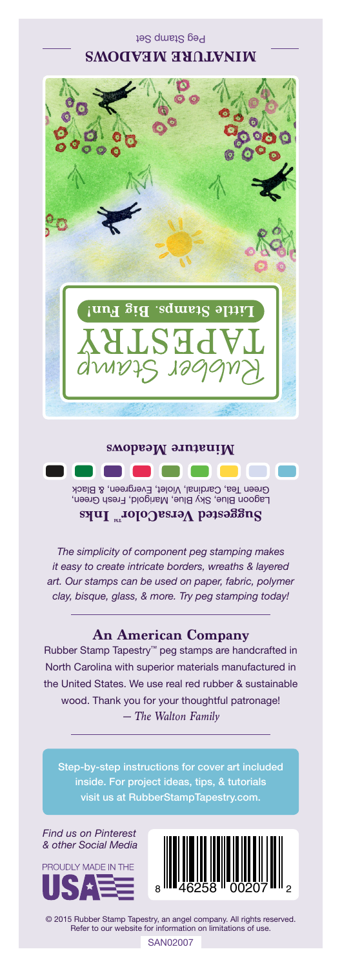Peg Stamp Set **MINATURE MEADOWS**



## Lagoon Blue, Sky Blue, Marigold, Fresh Green, Green Tea, Cardinal, Violet, Evergreen, & Black **Suggested VersaColorTM Inks Minature Meadows**

*The simplicity of component peg stamping makes it easy to create intricate borders, wreaths & layered art. Our stamps can be used on paper, fabric, polymer clay, bisque, glass, & more. Try peg stamping today!*

## **An American Company**

*— The Walton Family* Rubber Stamp Tapestry™ peg stamps are handcrafted in North Carolina with superior materials manufactured in the United States. We use real red rubber & sustainable wood. Thank you for your thoughtful patronage!

inside. For project ideas, tips, & tutorials visit us at RubberStampTapestry.com.

*Find us on Pinterest & other Social Media*





© 2015 Rubber Stamp Tapestry, an angel company. All rights reserved. Refer to our website for information on limitations of use.